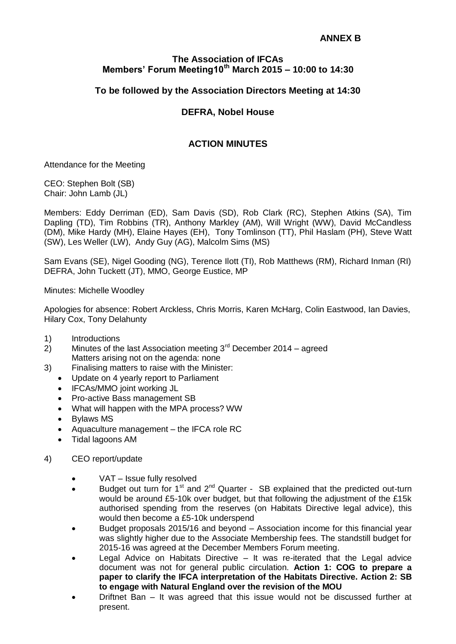## **The Association of IFCAs Members' Forum Meeting10th March 2015 – 10:00 to 14:30**

# **To be followed by the Association Directors Meeting at 14:30**

## **DEFRA, Nobel House**

## **ACTION MINUTES**

Attendance for the Meeting

CEO: Stephen Bolt (SB) Chair: John Lamb (JL)

Members: Eddy Derriman (ED), Sam Davis (SD), Rob Clark (RC), Stephen Atkins (SA), Tim Dapling (TD), Tim Robbins (TR), Anthony Markley (AM), Will Wright (WW), David McCandless (DM), Mike Hardy (MH), Elaine Hayes (EH), Tony Tomlinson (TT), Phil Haslam (PH), Steve Watt (SW), Les Weller (LW), Andy Guy (AG), Malcolm Sims (MS)

Sam Evans (SE), Nigel Gooding (NG), Terence Ilott (TI), Rob Matthews (RM), Richard Inman (RI) DEFRA, John Tuckett (JT), MMO, George Eustice, MP

Minutes: Michelle Woodley

Apologies for absence: Robert Arckless, Chris Morris, Karen McHarg, Colin Eastwood, Ian Davies, Hilary Cox, Tony Delahunty

- 1) Introductions
- $2)$  Minutes of the last Association meeting  $3<sup>rd</sup>$  December 2014 agreed Matters arising not on the agenda: none
- 3) Finalising matters to raise with the Minister:
	- Update on 4 yearly report to Parliament
	- IFCAs/MMO joint working JL
	- Pro-active Bass management SB
	- What will happen with the MPA process? WW
	- Bylaws MS
	- Aquaculture management the IFCA role RC
	- Tidal lagoons AM
- 4) CEO report/update
	- VAT Issue fully resolved
	- Budget out turn for  $1<sup>st</sup>$  and  $2<sup>nd</sup>$  Quarter SB explained that the predicted out-turn would be around £5-10k over budget, but that following the adjustment of the £15k authorised spending from the reserves (on Habitats Directive legal advice), this would then become a £5-10k underspend
	- Budget proposals 2015/16 and beyond Association income for this financial year was slightly higher due to the Associate Membership fees. The standstill budget for 2015-16 was agreed at the December Members Forum meeting.
	- Legal Advice on Habitats Directive It was re-iterated that the Legal advice document was not for general public circulation. **Action 1: COG to prepare a paper to clarify the IFCA interpretation of the Habitats Directive. Action 2: SB to engage with Natural England over the revision of the MOU**
	- Driftnet Ban It was agreed that this issue would not be discussed further at present.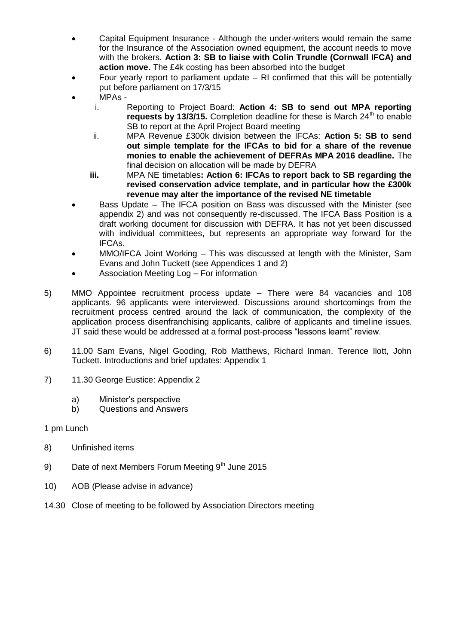- Capital Equipment Insurance Although the under-writers would remain the same for the Insurance of the Association owned equipment, the account needs to move with the brokers. **Action 3: SB to liaise with Colin Trundle (Cornwall IFCA) and action move.** The £4k costing has been absorbed into the budget
- Four yearly report to parliament update RI confirmed that this will be potentially put before parliament on 17/3/15
- MPAs
	- i. Reporting to Project Board: **Action 4: SB to send out MPA reporting requests by 13/3/15.** Completion deadline for these is March 24<sup>th</sup> to enable SB to report at the April Project Board meeting
	- ii. MPA Revenue £300k division between the IFCAs: **Action 5: SB to send out simple template for the IFCAs to bid for a share of the revenue monies to enable the achievement of DEFRAs MPA 2016 deadline.** The final decision on allocation will be made by DEFRA
	- **iii.** MPA NE timetables**: Action 6: IFCAs to report back to SB regarding the revised conservation advice template, and in particular how the £300k revenue may alter the importance of the revised NE timetable**
- Bass Update The IFCA position on Bass was discussed with the Minister (see appendix 2) and was not consequently re-discussed. The IFCA Bass Position is a draft working document for discussion with DEFRA. It has not yet been discussed with individual committees, but represents an appropriate way forward for the IFCAs.
- MMO/IFCA Joint Working This was discussed at length with the Minister, Sam Evans and John Tuckett (see Appendices 1 and 2)
- Association Meeting Log For information
- 5) MMO Appointee recruitment process update There were 84 vacancies and 108 applicants. 96 applicants were interviewed. Discussions around shortcomings from the recruitment process centred around the lack of communication, the complexity of the application process disenfranchising applicants, calibre of applicants and timeline issues. JT said these would be addressed at a formal post-process "lessons learnt" review.
- 6) 11.00 Sam Evans, Nigel Gooding, Rob Matthews, Richard Inman, Terence Ilott, John Tuckett. Introductions and brief updates: Appendix 1
- 7) 11.30 George Eustice: Appendix 2
	- a) Minister's perspective
	- b) Questions and Answers
- 1 pm Lunch
- 8) Unfinished items
- 9) Date of next Members Forum Meeting  $9<sup>th</sup>$  June 2015
- 10) AOB (Please advise in advance)
- 14.30 Close of meeting to be followed by Association Directors meeting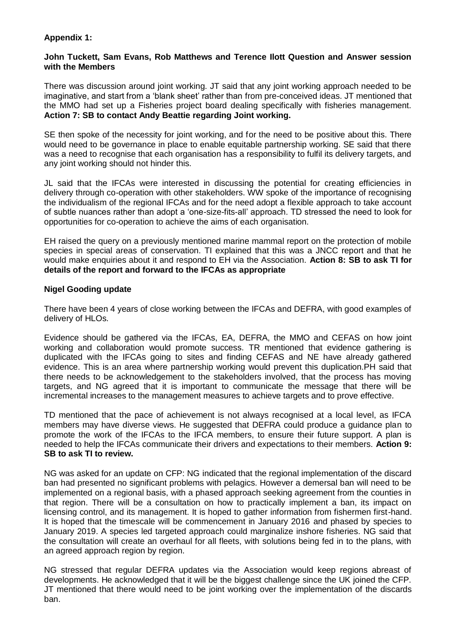### **Appendix 1:**

### **John Tuckett, Sam Evans, Rob Matthews and Terence Ilott Question and Answer session with the Members**

There was discussion around joint working. JT said that any joint working approach needed to be imaginative, and start from a 'blank sheet' rather than from pre-conceived ideas. JT mentioned that the MMO had set up a Fisheries project board dealing specifically with fisheries management. **Action 7: SB to contact Andy Beattie regarding Joint working.**

SE then spoke of the necessity for joint working, and for the need to be positive about this. There would need to be governance in place to enable equitable partnership working. SE said that there was a need to recognise that each organisation has a responsibility to fulfil its delivery targets, and any joint working should not hinder this.

JL said that the IFCAs were interested in discussing the potential for creating efficiencies in delivery through co-operation with other stakeholders. WW spoke of the importance of recognising the individualism of the regional IFCAs and for the need adopt a flexible approach to take account of subtle nuances rather than adopt a 'one-size-fits-all' approach. TD stressed the need to look for opportunities for co-operation to achieve the aims of each organisation.

EH raised the query on a previously mentioned marine mammal report on the protection of mobile species in special areas of conservation. TI explained that this was a JNCC report and that he would make enquiries about it and respond to EH via the Association. **Action 8: SB to ask TI for details of the report and forward to the IFCAs as appropriate**

### **Nigel Gooding update**

There have been 4 years of close working between the IFCAs and DEFRA, with good examples of delivery of HLOs.

Evidence should be gathered via the IFCAs, EA, DEFRA, the MMO and CEFAS on how joint working and collaboration would promote success. TR mentioned that evidence gathering is duplicated with the IFCAs going to sites and finding CEFAS and NE have already gathered evidence. This is an area where partnership working would prevent this duplication.PH said that there needs to be acknowledgement to the stakeholders involved, that the process has moving targets, and NG agreed that it is important to communicate the message that there will be incremental increases to the management measures to achieve targets and to prove effective.

TD mentioned that the pace of achievement is not always recognised at a local level, as IFCA members may have diverse views. He suggested that DEFRA could produce a guidance plan to promote the work of the IFCAs to the IFCA members, to ensure their future support. A plan is needed to help the IFCAs communicate their drivers and expectations to their members. **Action 9: SB to ask TI to review.**

NG was asked for an update on CFP: NG indicated that the regional implementation of the discard ban had presented no significant problems with pelagics. However a demersal ban will need to be implemented on a regional basis, with a phased approach seeking agreement from the counties in that region. There will be a consultation on how to practically implement a ban, its impact on licensing control, and its management. It is hoped to gather information from fishermen first-hand. It is hoped that the timescale will be commencement in January 2016 and phased by species to January 2019. A species led targeted approach could marginalize inshore fisheries. NG said that the consultation will create an overhaul for all fleets, with solutions being fed in to the plans, with an agreed approach region by region.

NG stressed that regular DEFRA updates via the Association would keep regions abreast of developments. He acknowledged that it will be the biggest challenge since the UK joined the CFP. JT mentioned that there would need to be joint working over the implementation of the discards ban.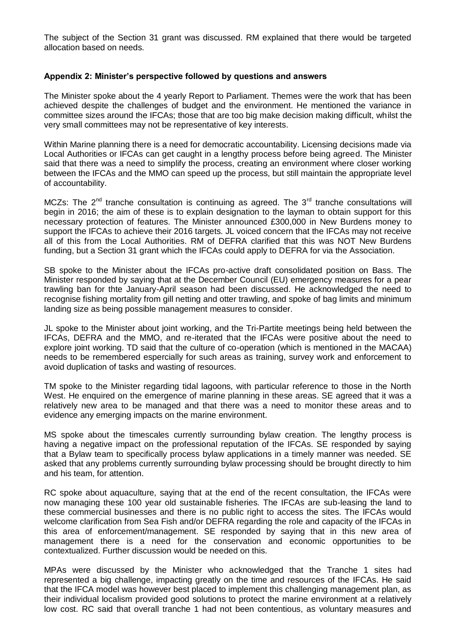The subject of the Section 31 grant was discussed. RM explained that there would be targeted allocation based on needs.

### **Appendix 2: Minister's perspective followed by questions and answers**

The Minister spoke about the 4 yearly Report to Parliament. Themes were the work that has been achieved despite the challenges of budget and the environment. He mentioned the variance in committee sizes around the IFCAs; those that are too big make decision making difficult, whilst the very small committees may not be representative of key interests.

Within Marine planning there is a need for democratic accountability. Licensing decisions made via Local Authorities or IFCAs can get caught in a lengthy process before being agreed. The Minister said that there was a need to simplify the process, creating an environment where closer working between the IFCAs and the MMO can speed up the process, but still maintain the appropriate level of accountability.

MCZs: The  $2^{nd}$  tranche consultation is continuing as agreed. The  $3^{rd}$  tranche consultations will begin in 2016; the aim of these is to explain designation to the layman to obtain support for this necessary protection of features. The Minister announced £300,000 in New Burdens money to support the IFCAs to achieve their 2016 targets. JL voiced concern that the IFCAs may not receive all of this from the Local Authorities. RM of DEFRA clarified that this was NOT New Burdens funding, but a Section 31 grant which the IFCAs could apply to DEFRA for via the Association.

SB spoke to the Minister about the IFCAs pro-active draft consolidated position on Bass. The Minister responded by saying that at the December Council (EU) emergency measures for a pear trawling ban for thte January-April season had been discussed. He acknowledged the need to recognise fishing mortality from gill netting and otter trawling, and spoke of bag limits and minimum landing size as being possible management measures to consider.

JL spoke to the Minister about joint working, and the Tri-Partite meetings being held between the IFCAs, DEFRA and the MMO, and re-iterated that the IFCAs were positive about the need to explore joint working. TD said that the culture of co-operation (which is mentioned in the MACAA) needs to be remembered espercially for such areas as training, survey work and enforcement to avoid duplication of tasks and wasting of resources.

TM spoke to the Minister regarding tidal lagoons, with particular reference to those in the North West. He enquired on the emergence of marine planning in these areas. SE agreed that it was a relatively new area to be managed and that there was a need to monitor these areas and to evidence any emerging impacts on the marine environment.

MS spoke about the timescales currently surrounding bylaw creation. The lengthy process is having a negative impact on the professional reputation of the IFCAs. SE responded by saying that a Bylaw team to specifically process bylaw applications in a timely manner was needed. SE asked that any problems currently surrounding bylaw processing should be brought directly to him and his team, for attention.

RC spoke about aquaculture, saying that at the end of the recent consultation, the IFCAs were now managing these 100 year old sustainable fisheries. The IFCAs are sub-leasing the land to these commercial businesses and there is no public right to access the sites. The IFCAs would welcome clarification from Sea Fish and/or DEFRA regarding the role and capacity of the IFCAs in this area of enforcement/management. SE responded by saying that in this new area of management there is a need for the conservation and economic opportunities to be contextualized. Further discussion would be needed on this.

MPAs were discussed by the Minister who acknowledged that the Tranche 1 sites had represented a big challenge, impacting greatly on the time and resources of the IFCAs. He said that the IFCA model was however best placed to implement this challenging management plan, as their individual localism provided good solutions to protect the marine environment at a relatively low cost. RC said that overall tranche 1 had not been contentious, as voluntary measures and